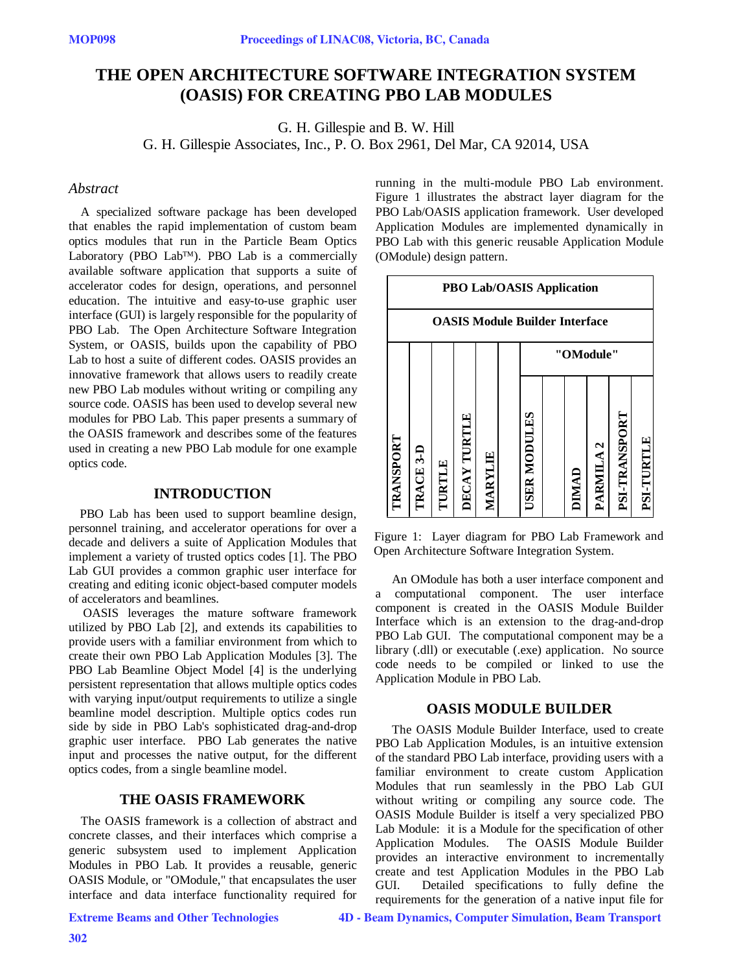# **THE OPEN ARCHITECTURE SOFTWARE INTEGRATION SYSTEM (OASIS) FOR CREATING PBO LAB MODULES**

G. H. Gillespie and B. W. Hill

G. H. Gillespie Associates, Inc., P. O. Box 2961, Del Mar, CA 92014, USA

#### *Abstract*

A specialized software package has been developed that enables the rapid implementation of custom beam optics modules that run in the Particle Beam Optics Laboratory (PBO Lab™). PBO Lab is a commercially available software application that supports a suite of accelerator codes for design, operations, and personnel education. The intuitive and easy-to-use graphic user interface (GUI) is largely responsible for the popularity of PBO Lab. The Open Architecture Software Integration System, or OASIS, builds upon the capability of PBO Lab to host a suite of different codes. OASIS provides an innovative framework that allows users to readily create new PBO Lab modules without writing or compiling any source code. OASIS has been used to develop several new modules for PBO Lab. This paper presents a summary of the OASIS framework and describes some of the features used in creating a new PBO Lab module for one example optics code.

### **INTRODUCTION**

PBO Lab has been used to support beamline design, personnel training, and accelerator operations for over a decade and delivers a suite of Application Modules that implement a variety of trusted optics codes [1]. The PBO Lab GUI provides a common graphic user interface for creating and editing iconic object-based computer models of accelerators and beamlines.

 OASIS leverages the mature software framework utilized by PBO Lab [2], and extends its capabilities to provide users with a familiar environment from which to create their own PBO Lab Application Modules [3]. The PBO Lab Beamline Object Model [4] is the underlying persistent representation that allows multiple optics codes with varying input/output requirements to utilize a single beamline model description. Multiple optics codes run side by side in PBO Lab's sophisticated drag-and-drop graphic user interface. PBO Lab generates the native input and processes the native output, for the different optics codes, from a single beamline model.

### **THE OASIS FRAMEWORK**

The OASIS framework is a collection of abstract and concrete classes, and their interfaces which comprise a generic subsystem used to implement Application Modules in PBO Lab. It provides a reusable, generic OASIS Module, or "OModule," that encapsulates the user interface and data interface functionality required for

Extreme Beams and Other Technologies

running in the multi-module PBO Lab environment. Figure 1 illustrates the abstract layer diagram for the PBO Lab/OASIS application framework. User developed Application Modules are implemented dynamically in PBO Lab with this generic reusable Application Module (OModule) design pattern.



Figure 1: Layer diagram for PBO Lab Framework and Open Architecture Software Integration System.

An OModule has both a user interface component and a computational component. The user interface component is created in the OASIS Module Builder Interface which is an extension to the drag-and-drop PBO Lab GUI. The computational component may be a library (.dll) or executable (.exe) application. No source code needs to be compiled or linked to use the Application Module in PBO Lab.

#### **OASIS MODULE BUILDER**

The OASIS Module Builder Interface, used to create PBO Lab Application Modules, is an intuitive extension of the standard PBO Lab interface, providing users with a familiar environment to create custom Application Modules that run seamlessly in the PBO Lab GUI without writing or compiling any source code. The OASIS Module Builder is itself a very specialized PBO Lab Module: it is a Module for the specification of other Application Modules. The OASIS Module Builder provides an interactive environment to incrementally create and test Application Modules in the PBO Lab GUI. Detailed specifications to fully define the requirements for the generation of a native input file for

4D - Beam Dynamics, Computer Simulation, Beam Transport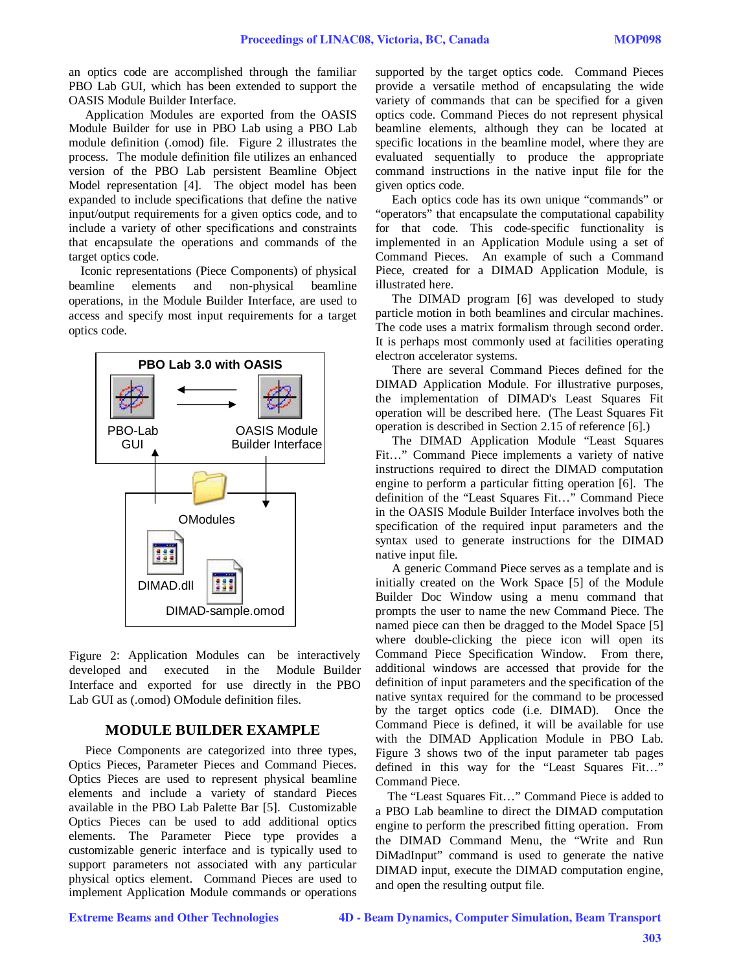an optics code are accomplished through the familiar PBO Lab GUI, which has been extended to support the OASIS Module Builder Interface.

Application Modules are exported from the OASIS Module Builder for use in PBO Lab using a PBO Lab module definition (.omod) file. Figure 2 illustrates the process. The module definition file utilizes an enhanced version of the PBO Lab persistent Beamline Object Model representation [4]. The object model has been expanded to include specifications that define the native input/output requirements for a given optics code, and to include a variety of other specifications and constraints that encapsulate the operations and commands of the target optics code.

Iconic representations (Piece Components) of physical beamline elements and non-physical beamline operations, in the Module Builder Interface, are used to access and specify most input requirements for a target optics code.



Figure 2: Application Modules can be interactively developed and executed in the Module Builder Interface and exported for use directly in the PBO Lab GUI as (.omod) OModule definition files.

## **MODULE BUILDER EXAMPLE**

Piece Components are categorized into three types, Optics Pieces, Parameter Pieces and Command Pieces. Optics Pieces are used to represent physical beamline elements and include a variety of standard Pieces available in the PBO Lab Palette Bar [5]. Customizable Optics Pieces can be used to add additional optics elements. The Parameter Piece type provides a customizable generic interface and is typically used to support parameters not associated with any particular physical optics element. Command Pieces are used to implement Application Module commands or operations

supported by the target optics code. Command Pieces provide a versatile method of encapsulating the wide variety of commands that can be specified for a given optics code. Command Pieces do not represent physical beamline elements, although they can be located at specific locations in the beamline model, where they are evaluated sequentially to produce the appropriate command instructions in the native input file for the given optics code.

Each optics code has its own unique "commands" or "operators" that encapsulate the computational capability for that code. This code-specific functionality is implemented in an Application Module using a set of Command Pieces. An example of such a Command Piece, created for a DIMAD Application Module, is illustrated here.

The DIMAD program [6] was developed to study particle motion in both beamlines and circular machines. The code uses a matrix formalism through second order. It is perhaps most commonly used at facilities operating electron accelerator systems.

There are several Command Pieces defined for the DIMAD Application Module. For illustrative purposes, the implementation of DIMAD's Least Squares Fit operation will be described here. (The Least Squares Fit operation is described in Section 2.15 of reference [6].)

The DIMAD Application Module "Least Squares Fit…" Command Piece implements a variety of native instructions required to direct the DIMAD computation engine to perform a particular fitting operation [6]. The definition of the "Least Squares Fit…" Command Piece in the OASIS Module Builder Interface involves both the specification of the required input parameters and the syntax used to generate instructions for the DIMAD native input file.

A generic Command Piece serves as a template and is initially created on the Work Space [5] of the Module Builder Doc Window using a menu command that prompts the user to name the new Command Piece. The named piece can then be dragged to the Model Space [5] where double-clicking the piece icon will open its Command Piece Specification Window. From there, additional windows are accessed that provide for the definition of input parameters and the specification of the native syntax required for the command to be processed by the target optics code (i.e. DIMAD). Once the Command Piece is defined, it will be available for use with the DIMAD Application Module in PBO Lab. Figure 3 shows two of the input parameter tab pages defined in this way for the "Least Squares Fit…" Command Piece.

The "Least Squares Fit…" Command Piece is added to a PBO Lab beamline to direct the DIMAD computation engine to perform the prescribed fitting operation. From the DIMAD Command Menu, the "Write and Run DiMadInput" command is used to generate the native DIMAD input, execute the DIMAD computation engine, and open the resulting output file.